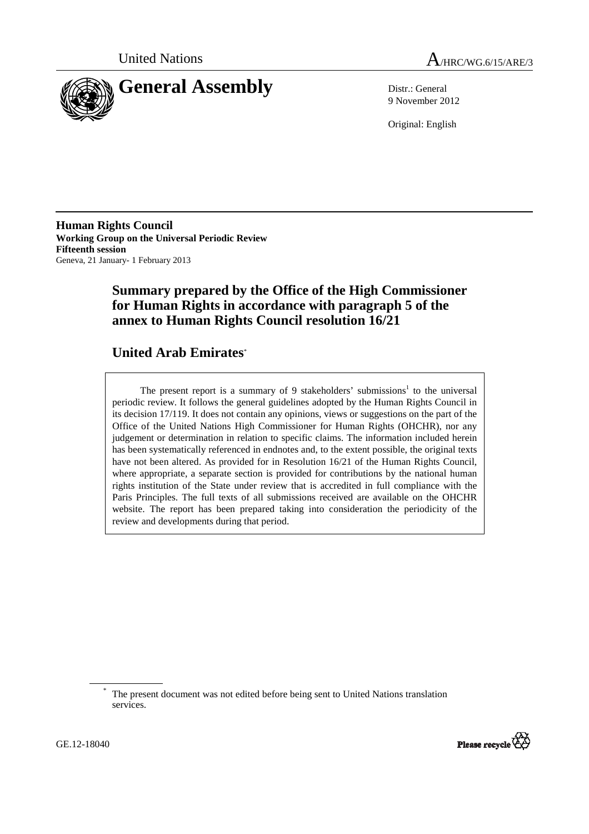



9 November 2012

Original: English

**Human Rights Council Working Group on the Universal Periodic Review Fifteenth session**  Geneva, 21 January- 1 February 2013

# **Summary prepared by the Office of the High Commissioner for Human Rights in accordance with paragraph 5 of the annex to Human Rights Council resolution 16/21**

# **United Arab Emirates**\*

The present report is a summary of 9 stakeholders' submissions<sup>1</sup> to the universal periodic review. It follows the general guidelines adopted by the Human Rights Council in its decision 17/119. It does not contain any opinions, views or suggestions on the part of the Office of the United Nations High Commissioner for Human Rights (OHCHR), nor any judgement or determination in relation to specific claims. The information included herein has been systematically referenced in endnotes and, to the extent possible, the original texts have not been altered. As provided for in Resolution 16/21 of the Human Rights Council, where appropriate, a separate section is provided for contributions by the national human rights institution of the State under review that is accredited in full compliance with the Paris Principles. The full texts of all submissions received are available on the OHCHR website. The report has been prepared taking into consideration the periodicity of the review and developments during that period.

<sup>\*</sup> The present document was not edited before being sent to United Nations translation services.



 $\overline{a}$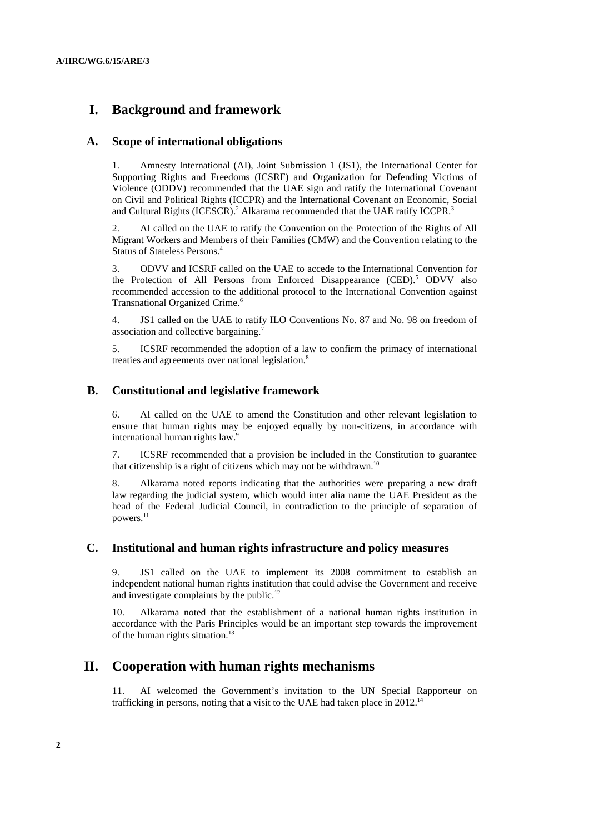## **I. Background and framework**

#### **A. Scope of international obligations**

1. Amnesty International (AI), Joint Submission 1 (JS1), the International Center for Supporting Rights and Freedoms (ICSRF) and Organization for Defending Victims of Violence (ODDV) recommended that the UAE sign and ratify the International Covenant on Civil and Political Rights (ICCPR) and the International Covenant on Economic, Social and Cultural Rights (ICESCR).<sup>2</sup> Alkarama recommended that the UAE ratify ICCPR.<sup>3</sup>

2. AI called on the UAE to ratify the Convention on the Protection of the Rights of All Migrant Workers and Members of their Families (CMW) and the Convention relating to the Status of Stateless Persons.<sup>4</sup>

3. ODVV and ICSRF called on the UAE to accede to the International Convention for the Protection of All Persons from Enforced Disappearance (CED).<sup>5</sup> ODVV also recommended accession to the additional protocol to the International Convention against Transnational Organized Crime.<sup>6</sup>

4. JS1 called on the UAE to ratify ILO Conventions No. 87 and No. 98 on freedom of association and collective bargaining.<sup>7</sup>

5. ICSRF recommended the adoption of a law to confirm the primacy of international treaties and agreements over national legislation.<sup>8</sup>

#### **B. Constitutional and legislative framework**

6. AI called on the UAE to amend the Constitution and other relevant legislation to ensure that human rights may be enjoyed equally by non-citizens, in accordance with international human rights law.<sup>9</sup>

7. ICSRF recommended that a provision be included in the Constitution to guarantee that citizenship is a right of citizens which may not be withdrawn.<sup>10</sup>

8. Alkarama noted reports indicating that the authorities were preparing a new draft law regarding the judicial system, which would inter alia name the UAE President as the head of the Federal Judicial Council, in contradiction to the principle of separation of powers.<sup>11</sup>

#### **C. Institutional and human rights infrastructure and policy measures**

9. JS1 called on the UAE to implement its 2008 commitment to establish an independent national human rights institution that could advise the Government and receive and investigate complaints by the public.<sup>12</sup>

10. Alkarama noted that the establishment of a national human rights institution in accordance with the Paris Principles would be an important step towards the improvement of the human rights situation.<sup>13</sup>

## **II. Cooperation with human rights mechanisms**

11. AI welcomed the Government's invitation to the UN Special Rapporteur on trafficking in persons, noting that a visit to the UAE had taken place in  $2012$ .<sup>14</sup>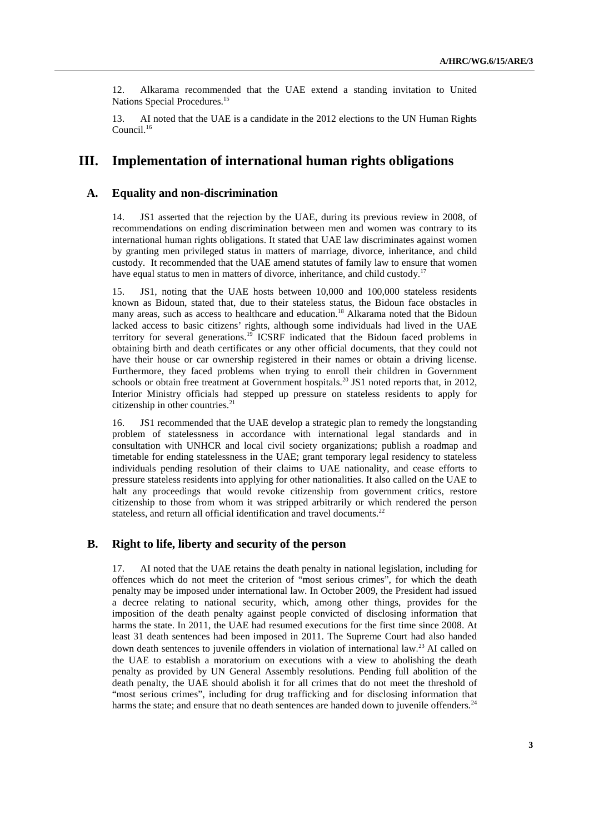12. Alkarama recommended that the UAE extend a standing invitation to United Nations Special Procedures.<sup>15</sup>

13. AI noted that the UAE is a candidate in the 2012 elections to the UN Human Rights Council.<sup>16</sup>

## **III. Implementation of international human rights obligations**

#### **A. Equality and non-discrimination**

14. JS1 asserted that the rejection by the UAE, during its previous review in 2008, of recommendations on ending discrimination between men and women was contrary to its international human rights obligations. It stated that UAE law discriminates against women by granting men privileged status in matters of marriage, divorce, inheritance, and child custody. It recommended that the UAE amend statutes of family law to ensure that women have equal status to men in matters of divorce, inheritance, and child custody.<sup>17</sup>

15. JS1, noting that the UAE hosts between 10,000 and 100,000 stateless residents known as Bidoun, stated that, due to their stateless status, the Bidoun face obstacles in many areas, such as access to healthcare and education.<sup>18</sup> Alkarama noted that the Bidoun lacked access to basic citizens' rights, although some individuals had lived in the UAE territory for several generations.<sup>19</sup> ICSRF indicated that the Bidoun faced problems in obtaining birth and death certificates or any other official documents, that they could not have their house or car ownership registered in their names or obtain a driving license. Furthermore, they faced problems when trying to enroll their children in Government schools or obtain free treatment at Government hospitals.<sup>20</sup> JS1 noted reports that, in 2012, Interior Ministry officials had stepped up pressure on stateless residents to apply for citizenship in other countries.<sup>21</sup>

16. JS1 recommended that the UAE develop a strategic plan to remedy the longstanding problem of statelessness in accordance with international legal standards and in consultation with UNHCR and local civil society organizations; publish a roadmap and timetable for ending statelessness in the UAE; grant temporary legal residency to stateless individuals pending resolution of their claims to UAE nationality, and cease efforts to pressure stateless residents into applying for other nationalities. It also called on the UAE to halt any proceedings that would revoke citizenship from government critics, restore citizenship to those from whom it was stripped arbitrarily or which rendered the person stateless, and return all official identification and travel documents.<sup>22</sup>

#### **B. Right to life, liberty and security of the person**

17. AI noted that the UAE retains the death penalty in national legislation, including for offences which do not meet the criterion of "most serious crimes", for which the death penalty may be imposed under international law. In October 2009, the President had issued a decree relating to national security, which, among other things, provides for the imposition of the death penalty against people convicted of disclosing information that harms the state. In 2011, the UAE had resumed executions for the first time since 2008. At least 31 death sentences had been imposed in 2011. The Supreme Court had also handed down death sentences to juvenile offenders in violation of international law. <sup>23</sup> AI called on the UAE to establish a moratorium on executions with a view to abolishing the death penalty as provided by UN General Assembly resolutions. Pending full abolition of the death penalty, the UAE should abolish it for all crimes that do not meet the threshold of "most serious crimes", including for drug trafficking and for disclosing information that harms the state; and ensure that no death sentences are handed down to juvenile offenders.<sup>24</sup>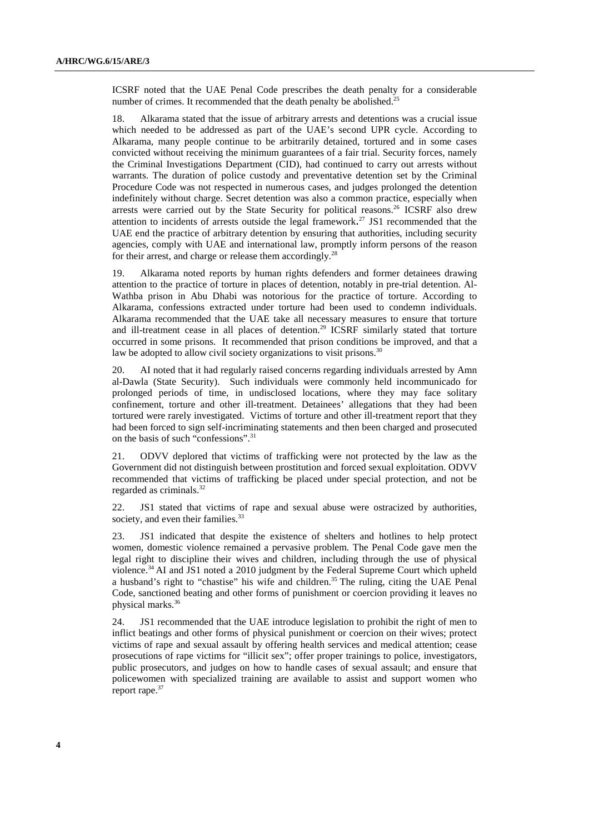ICSRF noted that the UAE Penal Code prescribes the death penalty for a considerable number of crimes. It recommended that the death penalty be abolished.<sup>25</sup>

18. Alkarama stated that the issue of arbitrary arrests and detentions was a crucial issue which needed to be addressed as part of the UAE's second UPR cycle. According to Alkarama, many people continue to be arbitrarily detained, tortured and in some cases convicted without receiving the minimum guarantees of a fair trial. Security forces, namely the Criminal Investigations Department (CID), had continued to carry out arrests without warrants. The duration of police custody and preventative detention set by the Criminal Procedure Code was not respected in numerous cases, and judges prolonged the detention indefinitely without charge. Secret detention was also a common practice, especially when arrests were carried out by the State Security for political reasons.<sup>26</sup> ICSRF also drew attention to incidents of arrests outside the legal framework. <sup>27</sup> JS1 recommended that the UAE end the practice of arbitrary detention by ensuring that authorities, including security agencies, comply with UAE and international law, promptly inform persons of the reason for their arrest, and charge or release them accordingly.<sup>28</sup>

19. Alkarama noted reports by human rights defenders and former detainees drawing attention to the practice of torture in places of detention, notably in pre-trial detention. Al-Wathba prison in Abu Dhabi was notorious for the practice of torture. According to Alkarama, confessions extracted under torture had been used to condemn individuals. Alkarama recommended that the UAE take all necessary measures to ensure that torture and ill-treatment cease in all places of detention.<sup>29</sup> ICSRF similarly stated that torture occurred in some prisons. It recommended that prison conditions be improved, and that a law be adopted to allow civil society organizations to visit prisons. $30$ 

20. AI noted that it had regularly raised concerns regarding individuals arrested by Amn al-Dawla (State Security). Such individuals were commonly held incommunicado for prolonged periods of time, in undisclosed locations, where they may face solitary confinement, torture and other ill-treatment. Detainees' allegations that they had been tortured were rarely investigated. Victims of torture and other ill-treatment report that they had been forced to sign self-incriminating statements and then been charged and prosecuted on the basis of such "confessions".<sup>31</sup>

21. ODVV deplored that victims of trafficking were not protected by the law as the Government did not distinguish between prostitution and forced sexual exploitation. ODVV recommended that victims of trafficking be placed under special protection, and not be regarded as criminals.<sup>32</sup>

22. JS1 stated that victims of rape and sexual abuse were ostracized by authorities, society, and even their families.<sup>33</sup>

23. JS1 indicated that despite the existence of shelters and hotlines to help protect women, domestic violence remained a pervasive problem. The Penal Code gave men the legal right to discipline their wives and children, including through the use of physical violence.<sup>34</sup>AI and JS1 noted a 2010 judgment by the Federal Supreme Court which upheld a husband's right to "chastise" his wife and children.<sup>35</sup> The ruling, citing the UAE Penal Code, sanctioned beating and other forms of punishment or coercion providing it leaves no physical marks.<sup>36</sup>

24. JS1 recommended that the UAE introduce legislation to prohibit the right of men to inflict beatings and other forms of physical punishment or coercion on their wives; protect victims of rape and sexual assault by offering health services and medical attention; cease prosecutions of rape victims for "illicit sex"; offer proper trainings to police, investigators, public prosecutors, and judges on how to handle cases of sexual assault; and ensure that policewomen with specialized training are available to assist and support women who report rape.<sup>37</sup>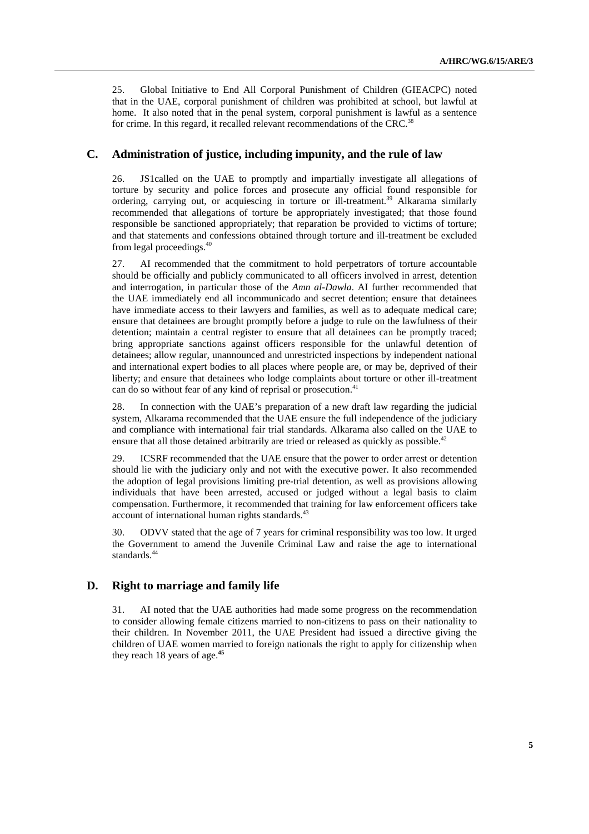25. Global Initiative to End All Corporal Punishment of Children (GIEACPC) noted that in the UAE, corporal punishment of children was prohibited at school, but lawful at home. It also noted that in the penal system, corporal punishment is lawful as a sentence for crime. In this regard, it recalled relevant recommendations of the CRC.<sup>38</sup>

### **C. Administration of justice, including impunity, and the rule of law**

26. JS1called on the UAE to promptly and impartially investigate all allegations of torture by security and police forces and prosecute any official found responsible for ordering, carrying out, or acquiescing in torture or ill-treatment.<sup>39</sup> Alkarama similarly recommended that allegations of torture be appropriately investigated; that those found responsible be sanctioned appropriately; that reparation be provided to victims of torture; and that statements and confessions obtained through torture and ill-treatment be excluded from legal proceedings.<sup>40</sup>

27. AI recommended that the commitment to hold perpetrators of torture accountable should be officially and publicly communicated to all officers involved in arrest, detention and interrogation, in particular those of the *Amn al-Dawla*. AI further recommended that the UAE immediately end all incommunicado and secret detention; ensure that detainees have immediate access to their lawyers and families, as well as to adequate medical care; ensure that detainees are brought promptly before a judge to rule on the lawfulness of their detention; maintain a central register to ensure that all detainees can be promptly traced; bring appropriate sanctions against officers responsible for the unlawful detention of detainees; allow regular, unannounced and unrestricted inspections by independent national and international expert bodies to all places where people are, or may be, deprived of their liberty; and ensure that detainees who lodge complaints about torture or other ill-treatment can do so without fear of any kind of reprisal or prosecution.<sup>41</sup>

28. In connection with the UAE's preparation of a new draft law regarding the judicial system, Alkarama recommended that the UAE ensure the full independence of the judiciary and compliance with international fair trial standards. Alkarama also called on the UAE to ensure that all those detained arbitrarily are tried or released as quickly as possible.<sup>42</sup>

29. ICSRF recommended that the UAE ensure that the power to order arrest or detention should lie with the judiciary only and not with the executive power. It also recommended the adoption of legal provisions limiting pre-trial detention, as well as provisions allowing individuals that have been arrested, accused or judged without a legal basis to claim compensation. Furthermore, it recommended that training for law enforcement officers take account of international human rights standards.<sup>43</sup>

30. ODVV stated that the age of 7 years for criminal responsibility was too low. It urged the Government to amend the Juvenile Criminal Law and raise the age to international standards.<sup>44</sup>

### **D. Right to marriage and family life**

31. AI noted that the UAE authorities had made some progress on the recommendation to consider allowing female citizens married to non-citizens to pass on their nationality to their children. In November 2011, the UAE President had issued a directive giving the children of UAE women married to foreign nationals the right to apply for citizenship when they reach 18 years of age.**45**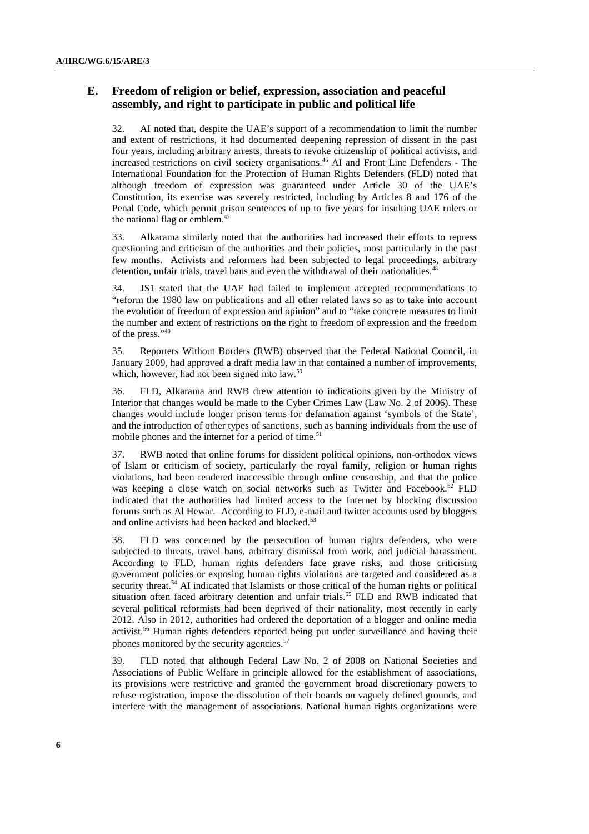## **E. Freedom of religion or belief, expression, association and peaceful assembly, and right to participate in public and political life**

32. AI noted that, despite the UAE's support of a recommendation to limit the number and extent of restrictions, it had documented deepening repression of dissent in the past four years, including arbitrary arrests, threats to revoke citizenship of political activists, and increased restrictions on civil society organisations.<sup>46</sup> AI and Front Line Defenders - The International Foundation for the Protection of Human Rights Defenders (FLD) noted that although freedom of expression was guaranteed under Article 30 of the UAE's Constitution, its exercise was severely restricted, including by Articles 8 and 176 of the Penal Code, which permit prison sentences of up to five years for insulting UAE rulers or the national flag or emblem.<sup>47</sup>

33. Alkarama similarly noted that the authorities had increased their efforts to repress questioning and criticism of the authorities and their policies, most particularly in the past few months. Activists and reformers had been subjected to legal proceedings, arbitrary detention, unfair trials, travel bans and even the withdrawal of their nationalities.<sup>48</sup>

34. JS1 stated that the UAE had failed to implement accepted recommendations to "reform the 1980 law on publications and all other related laws so as to take into account the evolution of freedom of expression and opinion" and to "take concrete measures to limit the number and extent of restrictions on the right to freedom of expression and the freedom of the press."<sup>49</sup>

35. Reporters Without Borders (RWB) observed that the Federal National Council, in January 2009, had approved a draft media law in that contained a number of improvements, which, however, had not been signed into law.<sup>50</sup>

36. FLD, Alkarama and RWB drew attention to indications given by the Ministry of Interior that changes would be made to the Cyber Crimes Law (Law No. 2 of 2006). These changes would include longer prison terms for defamation against 'symbols of the State', and the introduction of other types of sanctions, such as banning individuals from the use of mobile phones and the internet for a period of time.<sup>51</sup>

37. RWB noted that online forums for dissident political opinions, non-orthodox views of Islam or criticism of society, particularly the royal family, religion or human rights violations, had been rendered inaccessible through online censorship, and that the police was keeping a close watch on social networks such as Twitter and Facebook.<sup>52</sup> FLD indicated that the authorities had limited access to the Internet by blocking discussion forums such as Al Hewar. According to FLD, e-mail and twitter accounts used by bloggers and online activists had been hacked and blocked.<sup>53</sup>

38. FLD was concerned by the persecution of human rights defenders, who were subjected to threats, travel bans, arbitrary dismissal from work, and judicial harassment. According to FLD, human rights defenders face grave risks, and those criticising government policies or exposing human rights violations are targeted and considered as a security threat.<sup>54</sup> AI indicated that Islamists or those critical of the human rights or political situation often faced arbitrary detention and unfair trials.<sup>55</sup> FLD and RWB indicated that several political reformists had been deprived of their nationality, most recently in early 2012. Also in 2012, authorities had ordered the deportation of a blogger and online media activist.<sup>56</sup> Human rights defenders reported being put under surveillance and having their phones monitored by the security agencies.<sup>57</sup>

39. FLD noted that although Federal Law No. 2 of 2008 on National Societies and Associations of Public Welfare in principle allowed for the establishment of associations, its provisions were restrictive and granted the government broad discretionary powers to refuse registration, impose the dissolution of their boards on vaguely defined grounds, and interfere with the management of associations. National human rights organizations were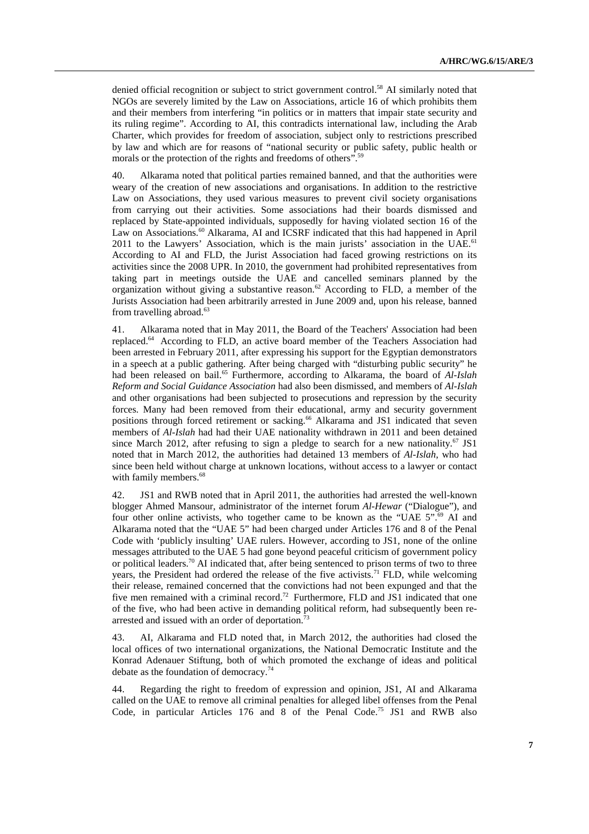denied official recognition or subject to strict government control.<sup>58</sup> AI similarly noted that NGOs are severely limited by the Law on Associations, article 16 of which prohibits them and their members from interfering "in politics or in matters that impair state security and its ruling regime". According to AI, this contradicts international law, including the Arab Charter, which provides for freedom of association, subject only to restrictions prescribed by law and which are for reasons of "national security or public safety, public health or morals or the protection of the rights and freedoms of others".<sup>59</sup>

40. Alkarama noted that political parties remained banned, and that the authorities were weary of the creation of new associations and organisations. In addition to the restrictive Law on Associations, they used various measures to prevent civil society organisations from carrying out their activities. Some associations had their boards dismissed and replaced by State-appointed individuals, supposedly for having violated section 16 of the Law on Associations.<sup>60</sup> Alkarama, AI and ICSRF indicated that this had happened in April 2011 to the Lawyers' Association, which is the main jurists' association in the UAE.<sup>61</sup> According to AI and FLD, the Jurist Association had faced growing restrictions on its activities since the 2008 UPR. In 2010, the government had prohibited representatives from taking part in meetings outside the UAE and cancelled seminars planned by the organization without giving a substantive reason.<sup>62</sup> According to FLD, a member of the Jurists Association had been arbitrarily arrested in June 2009 and, upon his release, banned from travelling abroad.<sup>63</sup>

41. Alkarama noted that in May 2011, the Board of the Teachers' Association had been replaced.<sup>64</sup> According to FLD, an active board member of the Teachers Association had been arrested in February 2011, after expressing his support for the Egyptian demonstrators in a speech at a public gathering. After being charged with "disturbing public security" he had been released on bail.<sup>65</sup> Furthermore, according to Alkarama, the board of *Al-Islah Reform and Social Guidance Association* had also been dismissed, and members of *Al-Islah* and other organisations had been subjected to prosecutions and repression by the security forces. Many had been removed from their educational, army and security government positions through forced retirement or sacking.<sup>66</sup> Alkarama and JS1 indicated that seven members of *Al-Islah* had had their UAE nationality withdrawn in 2011 and been detained since March 2012, after refusing to sign a pledge to search for a new nationality.<sup>67</sup> JS1 noted that in March 2012, the authorities had detained 13 members of *Al-Islah*, who had since been held without charge at unknown locations, without access to a lawyer or contact with family members.<sup>68</sup>

42. JS1 and RWB noted that in April 2011, the authorities had arrested the well-known blogger Ahmed Mansour, administrator of the internet forum *Al-Hewar* ("Dialogue"), and four other online activists, who together came to be known as the "UAE  $5$ ".<sup>69</sup> AI and Alkarama noted that the "UAE 5" had been charged under Articles 176 and 8 of the Penal Code with 'publicly insulting' UAE rulers. However, according to JS1, none of the online messages attributed to the UAE 5 had gone beyond peaceful criticism of government policy or political leaders.<sup>70</sup> AI indicated that, after being sentenced to prison terms of two to three years, the President had ordered the release of the five activists.<sup>71</sup> FLD, while welcoming their release, remained concerned that the convictions had not been expunged and that the five men remained with a criminal record.<sup>72</sup> Furthermore, FLD and JS1 indicated that one of the five, who had been active in demanding political reform, had subsequently been rearrested and issued with an order of deportation.<sup>73</sup>

43. AI, Alkarama and FLD noted that, in March 2012, the authorities had closed the local offices of two international organizations, the National Democratic Institute and the Konrad Adenauer Stiftung, both of which promoted the exchange of ideas and political debate as the foundation of democracy.<sup>74</sup>

44. Regarding the right to freedom of expression and opinion, JS1, AI and Alkarama called on the UAE to remove all criminal penalties for alleged libel offenses from the Penal Code, in particular Articles  $176$  and  $8$  of the Penal Code.<sup>75</sup> JS1 and RWB also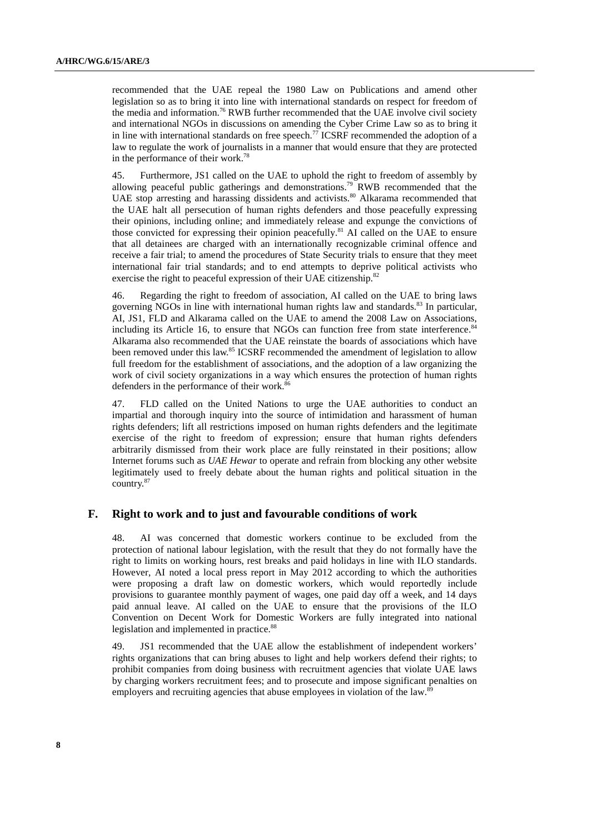recommended that the UAE repeal the 1980 Law on Publications and amend other legislation so as to bring it into line with international standards on respect for freedom of the media and information.<sup>76</sup> RWB further recommended that the UAE involve civil society and international NGOs in discussions on amending the Cyber Crime Law so as to bring it in line with international standards on free speech.<sup>77</sup> ICSRF recommended the adoption of a law to regulate the work of journalists in a manner that would ensure that they are protected in the performance of their work.<sup>78</sup>

45. Furthermore, JS1 called on the UAE to uphold the right to freedom of assembly by allowing peaceful public gatherings and demonstrations.<sup>79</sup> RWB recommended that the UAE stop arresting and harassing dissidents and activists.<sup>80</sup> Alkarama recommended that the UAE halt all persecution of human rights defenders and those peacefully expressing their opinions, including online; and immediately release and expunge the convictions of those convicted for expressing their opinion peacefully.<sup>81</sup> AI called on the UAE to ensure that all detainees are charged with an internationally recognizable criminal offence and receive a fair trial; to amend the procedures of State Security trials to ensure that they meet international fair trial standards; and to end attempts to deprive political activists who exercise the right to peaceful expression of their UAE citizenship.<sup>82</sup>

46. Regarding the right to freedom of association, AI called on the UAE to bring laws governing NGOs in line with international human rights law and standards.<sup>83</sup> In particular, AI, JS1, FLD and Alkarama called on the UAE to amend the 2008 Law on Associations, including its Article 16, to ensure that NGOs can function free from state interference.<sup>84</sup> Alkarama also recommended that the UAE reinstate the boards of associations which have been removed under this law.<sup>85</sup> ICSRF recommended the amendment of legislation to allow full freedom for the establishment of associations, and the adoption of a law organizing the work of civil society organizations in a way which ensures the protection of human rights defenders in the performance of their work.<sup>86</sup>

47. FLD called on the United Nations to urge the UAE authorities to conduct an impartial and thorough inquiry into the source of intimidation and harassment of human rights defenders; lift all restrictions imposed on human rights defenders and the legitimate exercise of the right to freedom of expression; ensure that human rights defenders arbitrarily dismissed from their work place are fully reinstated in their positions; allow Internet forums such as *UAE Hewar* to operate and refrain from blocking any other website legitimately used to freely debate about the human rights and political situation in the country.<sup>87</sup>

#### **F. Right to work and to just and favourable conditions of work**

48. AI was concerned that domestic workers continue to be excluded from the protection of national labour legislation, with the result that they do not formally have the right to limits on working hours, rest breaks and paid holidays in line with ILO standards. However, AI noted a local press report in May 2012 according to which the authorities were proposing a draft law on domestic workers, which would reportedly include provisions to guarantee monthly payment of wages, one paid day off a week, and 14 days paid annual leave. AI called on the UAE to ensure that the provisions of the ILO Convention on Decent Work for Domestic Workers are fully integrated into national legislation and implemented in practice.<sup>88</sup>

49. JS1 recommended that the UAE allow the establishment of independent workers' rights organizations that can bring abuses to light and help workers defend their rights; to prohibit companies from doing business with recruitment agencies that violate UAE laws by charging workers recruitment fees; and to prosecute and impose significant penalties on employers and recruiting agencies that abuse employees in violation of the law.<sup>89</sup>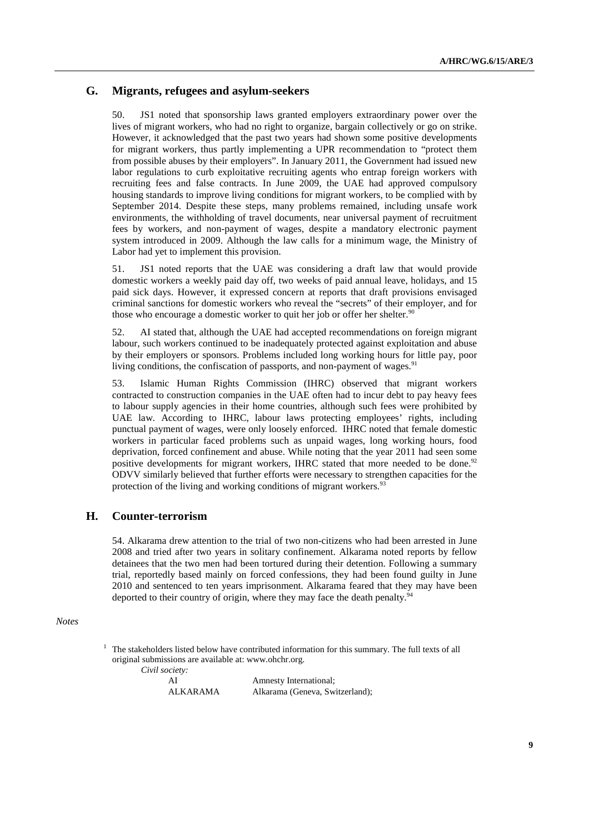### **G. Migrants, refugees and asylum-seekers**

50. JS1 noted that sponsorship laws granted employers extraordinary power over the lives of migrant workers, who had no right to organize, bargain collectively or go on strike. However, it acknowledged that the past two years had shown some positive developments for migrant workers, thus partly implementing a UPR recommendation to "protect them from possible abuses by their employers". In January 2011, the Government had issued new labor regulations to curb exploitative recruiting agents who entrap foreign workers with recruiting fees and false contracts. In June 2009, the UAE had approved compulsory housing standards to improve living conditions for migrant workers, to be complied with by September 2014. Despite these steps, many problems remained, including unsafe work environments, the withholding of travel documents, near universal payment of recruitment fees by workers, and non-payment of wages, despite a mandatory electronic payment system introduced in 2009. Although the law calls for a minimum wage, the Ministry of Labor had yet to implement this provision.

51. JS1 noted reports that the UAE was considering a draft law that would provide domestic workers a weekly paid day off, two weeks of paid annual leave, holidays, and 15 paid sick days. However, it expressed concern at reports that draft provisions envisaged criminal sanctions for domestic workers who reveal the "secrets" of their employer, and for those who encourage a domestic worker to quit her job or offer her shelter.<sup>90</sup>

52. AI stated that, although the UAE had accepted recommendations on foreign migrant labour, such workers continued to be inadequately protected against exploitation and abuse by their employers or sponsors. Problems included long working hours for little pay, poor living conditions, the confiscation of passports, and non-payment of wages. $91$ 

53. Islamic Human Rights Commission (IHRC) observed that migrant workers contracted to construction companies in the UAE often had to incur debt to pay heavy fees to labour supply agencies in their home countries, although such fees were prohibited by UAE law. According to IHRC, labour laws protecting employees' rights, including punctual payment of wages, were only loosely enforced. IHRC noted that female domestic workers in particular faced problems such as unpaid wages, long working hours, food deprivation, forced confinement and abuse. While noting that the year 2011 had seen some positive developments for migrant workers, IHRC stated that more needed to be done.<sup>92</sup> ODVV similarly believed that further efforts were necessary to strengthen capacities for the protection of the living and working conditions of migrant workers.<sup>93</sup>

## **H. Counter-terrorism**

54. Alkarama drew attention to the trial of two non-citizens who had been arrested in June 2008 and tried after two years in solitary confinement. Alkarama noted reports by fellow detainees that the two men had been tortured during their detention. Following a summary trial, reportedly based mainly on forced confessions, they had been found guilty in June 2010 and sentenced to ten years imprisonment. Alkarama feared that they may have been deported to their country of origin, where they may face the death penalty.<sup>94</sup>

#### *Notes*

1 The stakeholders listed below have contributed information for this summary. The full texts of all original submissions are available at: www.ohchr.org.

*Civil society:*

AI Amnesty International;<br>ALKARAMA Alkarama (Geneva, Sw Alkarama (Geneva, Switzerland);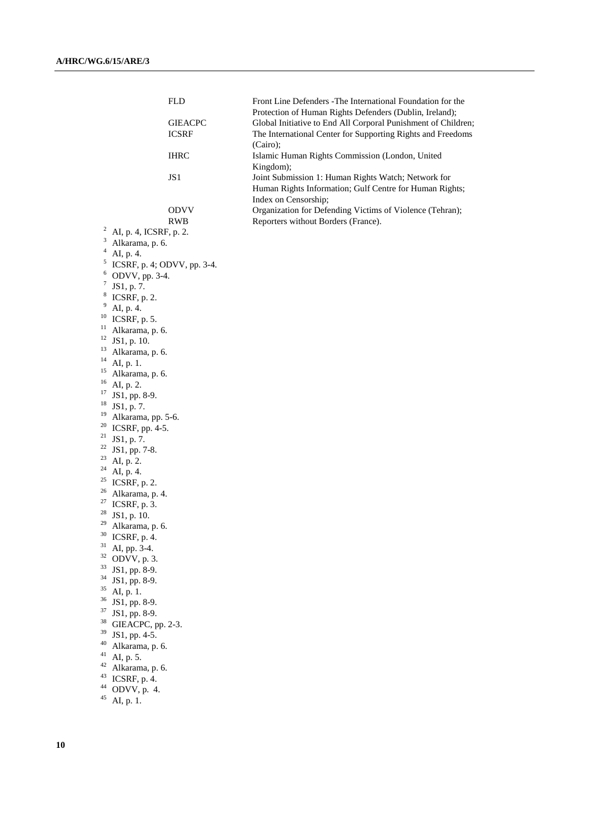|          | <b>FLD</b>                               | Front Line Defenders - The International Foundation for the             |  |
|----------|------------------------------------------|-------------------------------------------------------------------------|--|
|          |                                          | Protection of Human Rights Defenders (Dublin, Ireland);                 |  |
|          | <b>GIEACPC</b>                           | Global Initiative to End All Corporal Punishment of Children;           |  |
|          | <b>ICSRF</b>                             | The International Center for Supporting Rights and Freedoms<br>(Cairo); |  |
|          | <b>IHRC</b>                              | Islamic Human Rights Commission (London, United<br>Kingdom);            |  |
|          | JS1                                      | Joint Submission 1: Human Rights Watch; Network for                     |  |
|          |                                          | Human Rights Information; Gulf Centre for Human Rights;                 |  |
|          |                                          | Index on Censorship;                                                    |  |
|          | <b>ODVV</b>                              | Organization for Defending Victims of Violence (Tehran);                |  |
|          | <b>RWB</b>                               | Reporters without Borders (France).                                     |  |
|          | $2$ AI, p. 4, ICSRF, p. 2.               |                                                                         |  |
| 3        | Alkarama, p. 6.                          |                                                                         |  |
|          | $4$ AI, p. 4.                            |                                                                         |  |
|          | <sup>5</sup> ICSRF, p. 4; ODVV, pp. 3-4. |                                                                         |  |
|          | $6$ ODVV, pp. 3-4.                       |                                                                         |  |
|          | $7$ JS1, p. 7.                           |                                                                         |  |
|          | $8$ ICSRF, p. 2.                         |                                                                         |  |
| 9        | AI, p. 4.                                |                                                                         |  |
|          | $^{10}$ ICSRF, p. 5.                     |                                                                         |  |
|          | <sup>11</sup> Alkarama, p. 6.            |                                                                         |  |
|          | $12$ JS1, p. 10.                         |                                                                         |  |
| 13       | Alkarama, p. 6.                          |                                                                         |  |
| 14       | AI, p. 1.                                |                                                                         |  |
| 15       | Alkarama, p. 6.                          |                                                                         |  |
| 16       | AI, p. 2.                                |                                                                         |  |
|          | <sup>17</sup> JS1, pp. 8-9.              |                                                                         |  |
|          | $18$ JS1, p. 7.                          |                                                                         |  |
| 19       | Alkarama, pp. 5-6.                       |                                                                         |  |
|          | $20$ ICSRF, pp. 4-5.                     |                                                                         |  |
|          | $21$ JS1, p. 7.                          |                                                                         |  |
|          | $22$ JS1, pp. 7-8.                       |                                                                         |  |
| 24       | $23$ AI, p. 2.                           |                                                                         |  |
|          | AI, p. 4.                                |                                                                         |  |
|          | $25$ ICSRF, p. 2.                        |                                                                         |  |
| 26       | Alkarama, p. 4.                          |                                                                         |  |
| 27<br>28 | ICSRF, p. 3.                             |                                                                         |  |
|          | JS1, p. 10.                              |                                                                         |  |
| 29<br>30 | Alkarama, p. 6.                          |                                                                         |  |
| 31       | ICSRF, p. 4.                             |                                                                         |  |
| 32       | AI, pp. 3-4.                             |                                                                         |  |
| 33       | ODVV, p. 3.                              |                                                                         |  |
| 34       | JS1, pp. 8-9.                            |                                                                         |  |
| 35       | JS1, pp. 8-9.                            |                                                                         |  |
|          | AI, p. 1.<br><sup>36</sup> JS1, pp. 8-9. |                                                                         |  |
| 37       | JS1, pp. 8-9.                            |                                                                         |  |
| 38       |                                          |                                                                         |  |
| 39       | GIEACPC, pp. 2-3.<br>JS1, pp. 4-5.       |                                                                         |  |
| 40       | Alkarama, p. 6.                          |                                                                         |  |
|          | $41$ AI, p. 5.                           |                                                                         |  |
|          | $42$ Alkarama, p. 6.                     |                                                                         |  |
|          | <sup>43</sup> ICSRF, p. 4.               |                                                                         |  |
| 44       | ODVV, p. 4.                              |                                                                         |  |
| 45       | AI, p. 1.                                |                                                                         |  |
|          |                                          |                                                                         |  |
|          |                                          |                                                                         |  |